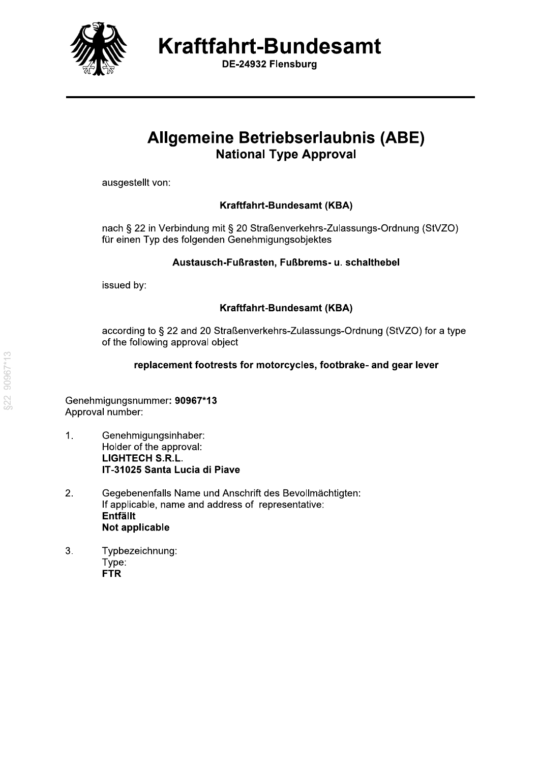

DE-24932 Flensburg

# **Allgemeine Betriebserlaubnis (ABE) National Type Approval**

ausgestellt von:

### Kraftfahrt-Bundesamt (KBA)

nach § 22 in Verbindung mit § 20 Straßenverkehrs-Zulassungs-Ordnung (StVZO) für einen Typ des folgenden Genehmigungsobjektes

### Austausch-Fußrasten, Fußbrems- u. schalthebel

issued by:

### Kraftfahrt-Bundesamt (KBA)

according to § 22 and 20 Straßenverkehrs-Zulassungs-Ordnung (StVZO) for a type of the following approval object

### replacement footrests for motorcycles, footbrake- and gear lever

Genehmigungsnummer: 90967\*13 Approval number:

- $\mathbf{1}$ . Genehmigungsinhaber: Holder of the approval: **LIGHTECH S.R.L.** IT-31025 Santa Lucia di Piave
- $\overline{2}$ . Gegebenenfalls Name und Anschrift des Bevollmächtigten: If applicable, name and address of representative: **Entfällt** Not applicable
- $3.$ Typbezeichnung: Type: **FTR**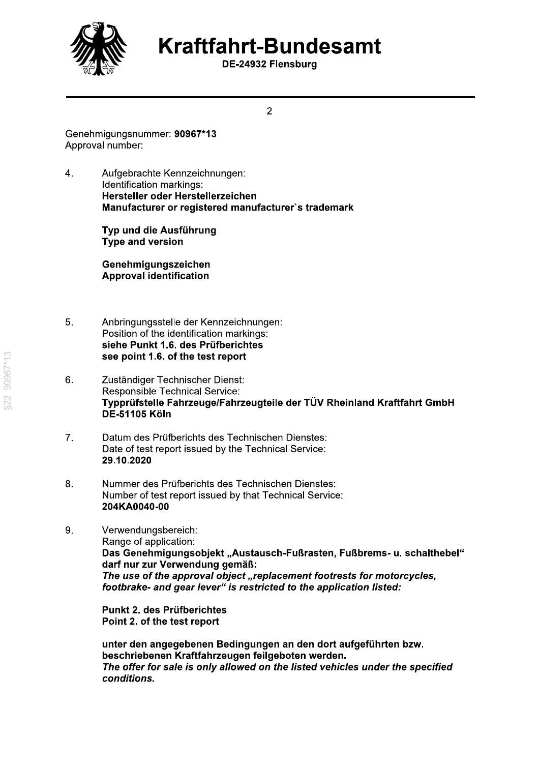

DE-24932 Flensburg

 $\overline{2}$ 

Genehmigungsnummer: 90967\*13 Approval number:

 $\overline{4}$ . Aufgebrachte Kennzeichnungen: Identification markings: Hersteller oder Herstellerzeichen Manufacturer or registered manufacturer's trademark

> Typ und die Ausführung **Type and version**

Genehmigungszeichen **Approval identification** 

- 5. Anbringungsstelle der Kennzeichnungen: Position of the identification markings: siehe Punkt 1.6. des Prüfberichtes see point 1.6. of the test report
- Zuständiger Technischer Dienst: 6. **Responsible Technical Service:** Typprüfstelle Fahrzeuge/Fahrzeugteile der TÜV Rheinland Kraftfahrt GmbH **DE-51105 Köln**
- $\overline{7}$ . Datum des Prüfberichts des Technischen Dienstes: Date of test report issued by the Technical Service: 29.10.2020
- $8<sup>1</sup>$ Nummer des Prüfberichts des Technischen Dienstes: Number of test report issued by that Technical Service: 204KA0040-00
- 9. Verwendungsbereich: Range of application: Das Genehmigungsobjekt "Austausch-Fußrasten, Fußbrems- u. schalthebel" darf nur zur Verwendung gemäß: The use of the approval object "replacement footrests for motorcycles, footbrake- and gear lever" is restricted to the application listed:

Punkt 2. des Prüfberichtes Point 2. of the test report

unter den angegebenen Bedingungen an den dort aufgeführten bzw. beschriebenen Kraftfahrzeugen feilgeboten werden. The offer for sale is only allowed on the listed vehicles under the specified conditions.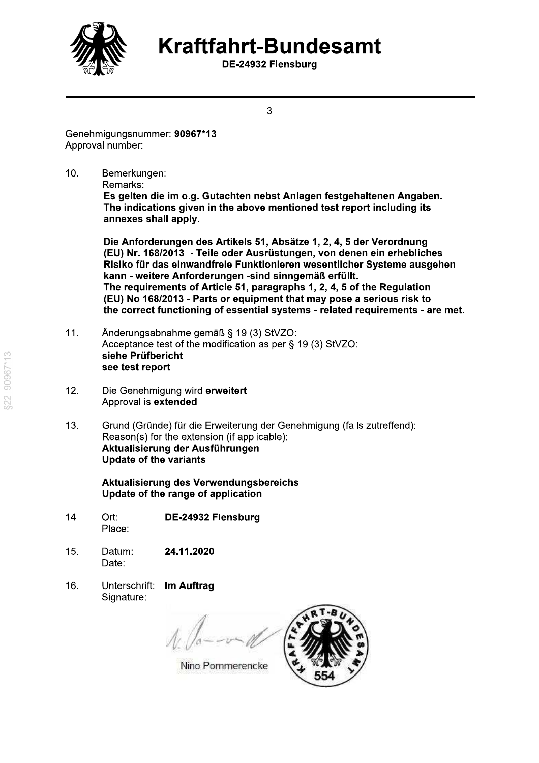

DE-24932 Flensburg

3

Genehmigungsnummer: 90967\*13 Approval number:

 $10.$ Bemerkungen:

Remarks:

Es gelten die im o.g. Gutachten nebst Anlagen festgehaltenen Angaben. The indications given in the above mentioned test report including its annexes shall apply.

Die Anforderungen des Artikels 51, Absätze 1, 2, 4, 5 der Verordnung (EU) Nr. 168/2013 - Teile oder Ausrüstungen, von denen ein erhebliches Risiko für das einwandfreie Funktionieren wesentlicher Systeme ausgehen kann - weitere Anforderungen -sind sinngemäß erfüllt. The requirements of Article 51, paragraphs 1, 2, 4, 5 of the Regulation (EU) No 168/2013 - Parts or equipment that may pose a serious risk to the correct functioning of essential systems - related requirements - are met.

- Änderungsabnahme gemäß § 19 (3) StVZO:  $11.$ Acceptance test of the modification as per § 19 (3) StVZO: siehe Prüfbericht see test report
- $12.$ Die Genehmigung wird erweitert Approval is extended
- $13.$ Grund (Gründe) für die Erweiterung der Genehmigung (falls zutreffend): Reason(s) for the extension (if applicable): Aktualisierung der Ausführungen **Update of the variants**

Aktualisierung des Verwendungsbereichs Update of the range of application

- $14.$ Ort: DE-24932 Flensburg Place:
- 24.11.2020  $15<sub>1</sub>$ Datum: Date:
- $16.$ Unterschrift: Im Auftrag Signature:

Nino Pommerencke

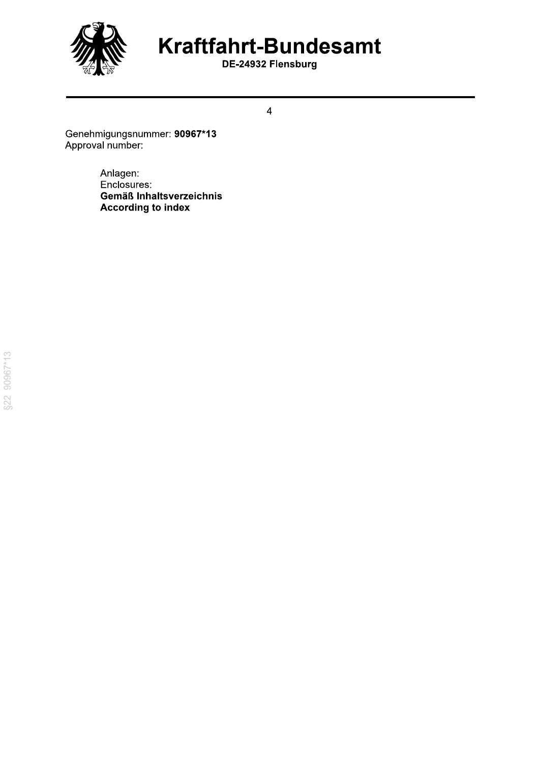

DE-24932 Flensburg

 $\overline{4}$ 

Genehmigungsnummer: 90967\*13<br>Approval number:

Anlagen: Enclosures: Gemäß Inhaltsverzeichnis **According to index**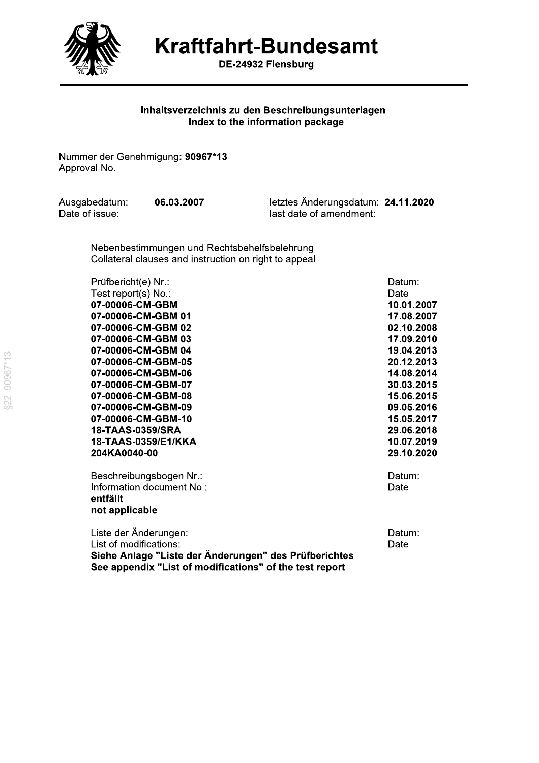

—

Kraftfahrt-Bundesamt

DE-24932 Flensburg

### Inhaltsverzeichnis zu den Beschreibungsunterlagen Index to the information package

BE-2<br>
Inhaltsverzeichnis zu<br>
Index to the<br>
Nummer der Genehmigung: 90967\*13<br>
Approval No.<br>
Ausgabedatum: 06.03.2007<br>
Date of issue:<br>
Nebenbestimmungen und Rechts

Inhaltsverzeichnis zu den Beschreibungsunterlagen<br>
Index to the information package<br>
Nummer der Genehmigung: 90967\*13<br>
Approval No.<br>
Ausgabedatum: 06.03.2007 letztes Änderungsdatum: 24.11.2020<br>
Date of issue: last date of

Nummer der Genehmigung: 90967\*13<br>
Approval No.<br>
24.11.2020<br>
Date of issue:<br>
Nebenbestimmungen und Rechtsbehelfsbelehrung<br>
Collateral clauses and instruction on right to appeal<br>
Prüfbericht(e) Nr.:<br>
Test report(s) No .:<br>
Te 0200001MNON0 0@0Q@041 07-00006-CM-GBM-10 15.05.2017 4PRSST0QUTVS @01@04P 18-TAAS-0359/E1/KKA 10.07.2019

> not applicable

07-00006-CM-GBM-07<br>
07-00006-CM-GBM-08<br>
07-00006-CM-GBM-09<br>
07-00006-CM-GBM-09<br>
07-00006-CM-GBM-09<br>
07-00006-CM-GBM-09<br>
16.05.2016<br>
16.05.2017<br>
18-TAAS-0359/SRA<br>
16-TAAS-0359/E1/KKA<br>
204KA0040-00<br>
29.10.2020<br>
Beschreibungs 18-TAAS-0359/E1/KKA 10.07.2019<br>
204KA0040-00<br>
Beschreibungsbogen Nr.:<br>
Information document No.:<br>
Information document No.:<br>
entfällt<br>
not applicable<br>
Liste der Änderungen:<br>
List of modifications of the test report<br>
See ap ge "Liste der Änderungen" des Prüfberichtes<br>dix "List of modifications" of the test report See appendix "List of modificati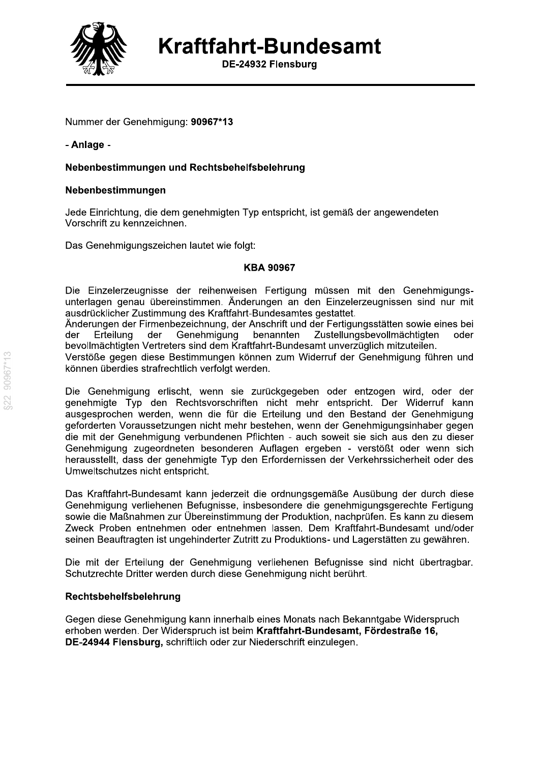

DE-24932 Flensburg

Nummer der Genehmigung: 90967\*13

- Anlage -

### Nebenbestimmungen und Rechtsbehelfsbelehrung

### Nebenbestimmungen

Jede Einrichtung, die dem genehmigten Typ entspricht, ist gemäß der angewendeten Vorschrift zu kennzeichnen.

Das Genehmigungszeichen lautet wie folgt:

### **KBA 90967**

Die Einzelerzeugnisse der reihenweisen Fertigung müssen mit den Genehmigungsunterlagen genau übereinstimmen. Änderungen an den Einzelerzeugnissen sind nur mit ausdrücklicher Zustimmung des Kraftfahrt-Bundesamtes gestattet.

Änderungen der Firmenbezeichnung, der Anschrift und der Fertigungsstätten sowie eines bei Genehmigung benannten Zustellungsbevollmächtigten der Erteilung der oder bevollmächtigten Vertreters sind dem Kraftfahrt-Bundesamt unverzüglich mitzuteilen.

Verstöße gegen diese Bestimmungen können zum Widerruf der Genehmigung führen und können überdies strafrechtlich verfolgt werden.

Die Genehmigung erlischt, wenn sie zurückgegeben oder entzogen wird, oder der genehmigte Typ den Rechtsvorschriften nicht mehr entspricht. Der Widerruf kann ausgesprochen werden, wenn die für die Erteilung und den Bestand der Genehmigung geforderten Voraussetzungen nicht mehr bestehen, wenn der Genehmigungsinhaber gegen die mit der Genehmigung verbundenen Pflichten - auch soweit sie sich aus den zu dieser Genehmigung zugeordneten besonderen Auflagen ergeben - verstößt oder wenn sich herausstellt, dass der genehmigte Typ den Erfordernissen der Verkehrssicherheit oder des Umweltschutzes nicht entspricht.

Das Kraftfahrt-Bundesamt kann jederzeit die ordnungsgemäße Ausübung der durch diese Genehmigung verliehenen Befugnisse, insbesondere die genehmigungsgerechte Fertigung sowie die Maßnahmen zur Übereinstimmung der Produktion, nachprüfen. Es kann zu diesem Zweck Proben entnehmen oder entnehmen lassen. Dem Kraftfahrt-Bundesamt und/oder seinen Beauftragten ist ungehinderter Zutritt zu Produktions- und Lagerstätten zu gewähren.

Die mit der Erteilung der Genehmigung verliehenen Befugnisse sind nicht übertragbar. Schutzrechte Dritter werden durch diese Genehmigung nicht berührt.

### Rechtsbehelfsbelehrung

Gegen diese Genehmigung kann innerhalb eines Monats nach Bekanntgabe Widerspruch erhoben werden. Der Widerspruch ist beim Kraftfahrt-Bundesamt, Fördestraße 16. DE-24944 Flensburg, schriftlich oder zur Niederschrift einzulegen.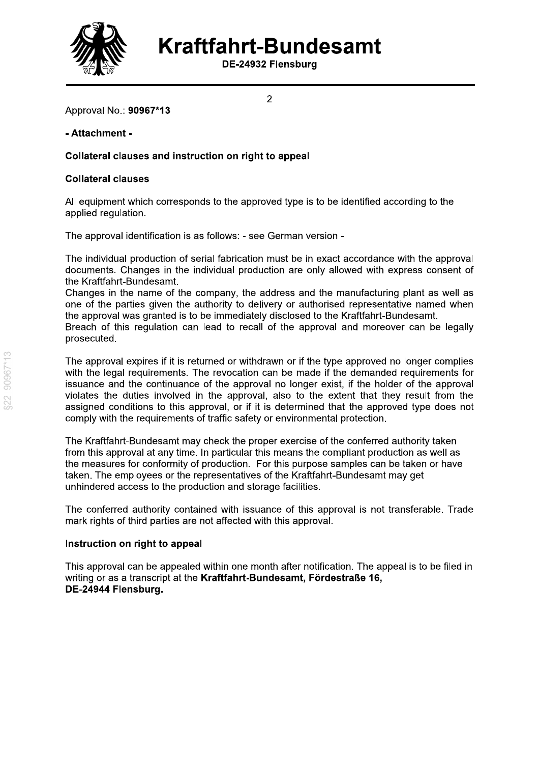

DE-24932 Flensburg

 $\overline{2}$ 

Approval No.: 90967\*13

### - Attachment -

### Collateral clauses and instruction on right to appeal

### **Collateral clauses**

All equipment which corresponds to the approved type is to be identified according to the applied regulation.

The approval identification is as follows: - see German version -

The individual production of serial fabrication must be in exact accordance with the approval documents. Changes in the individual production are only allowed with express consent of the Kraftfahrt-Bundesamt.

Changes in the name of the company, the address and the manufacturing plant as well as one of the parties given the authority to delivery or authorised representative named when the approval was granted is to be immediately disclosed to the Kraftfahrt-Bundesamt. Breach of this regulation can lead to recall of the approval and moreover can be legally prosecuted.

The approval expires if it is returned or withdrawn or if the type approved no longer complies with the legal requirements. The revocation can be made if the demanded requirements for issuance and the continuance of the approval no longer exist, if the holder of the approval violates the duties involved in the approval, also to the extent that they result from the assigned conditions to this approval, or if it is determined that the approved type does not comply with the requirements of traffic safety or environmental protection.

The Kraftfahrt-Bundesamt may check the proper exercise of the conferred authority taken from this approval at any time. In particular this means the compliant production as well as the measures for conformity of production. For this purpose samples can be taken or have taken. The employees or the representatives of the Kraftfahrt-Bundesamt may get unhindered access to the production and storage facilities.

The conferred authority contained with issuance of this approval is not transferable. Trade mark rights of third parties are not affected with this approval.

### Instruction on right to appeal

This approval can be appealed within one month after notification. The appeal is to be filed in writing or as a transcript at the Kraftfahrt-Bundesamt, Fördestraße 16, DE-24944 Flensburg.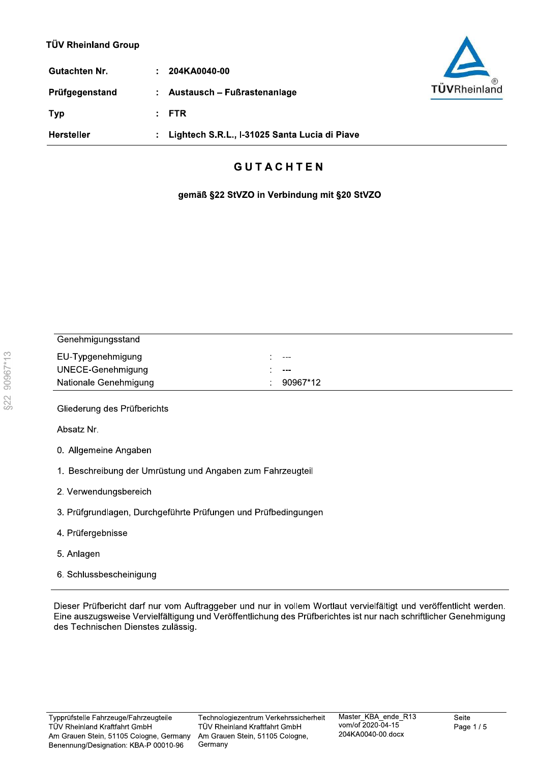| Gutachten Nr.  | ÷. | 204KA0040-00                                  |
|----------------|----|-----------------------------------------------|
| Prüfgegenstand |    | : Austausch – Fußrastenanlage                 |
| <b>Typ</b>     |    | : FTR                                         |
| Hersteller     |    | Lightech S.R.L., I-31025 Santa Lucia di Piave |



## **GUTACHTEN**

gemäß §22 StVZO in Verbindung mit §20 StVZO

| Genehmigungsstand     |               |
|-----------------------|---------------|
| EU-Typgenehmigung     | $---$         |
| UNECE-Genehmigung     | $\frac{1}{2}$ |
| Nationale Genehmigung | 90967*12      |

Gliederung des Prüfberichts

Absatz Nr.

- 0. Allgemeine Angaben
- 1. Beschreibung der Umrüstung und Angaben zum Fahrzeugteil
- 2. Verwendungsbereich
- 3. Prüfgrundlagen, Durchgeführte Prüfungen und Prüfbedingungen
- 4. Prüfergebnisse
- 5. Anlagen
- 6. Schlussbescheinigung

Dieser Prüfbericht darf nur vom Auftraggeber und nur in vollem Wortlaut vervielfältigt und veröffentlicht werden. Eine auszugsweise Vervielfältigung und Veröffentlichung des Prüfberichtes ist nur nach schriftlicher Genehmigung des Technischen Dienstes zulässig.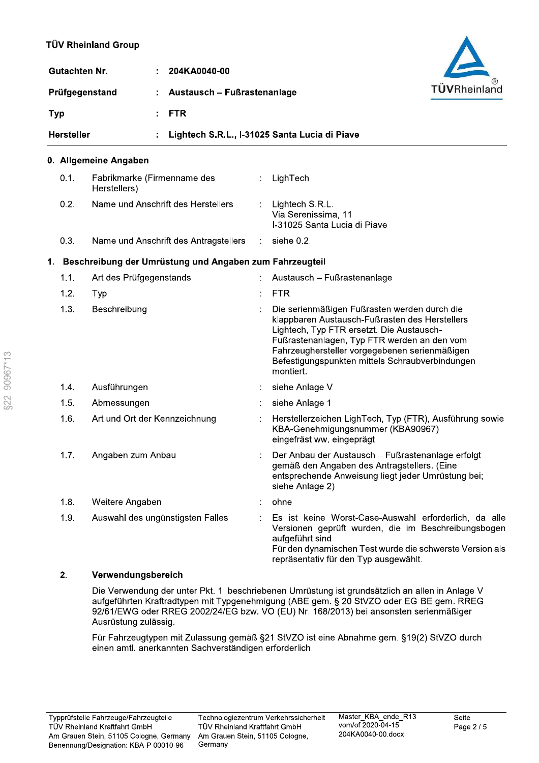| <b>Gutachten Nr.</b> | 204KA0040-00                                  |              |
|----------------------|-----------------------------------------------|--------------|
| Prüfgegenstand       | Austausch – Fußrastenanlage<br>÷.             | TÜVRheinland |
| <b>Typ</b>           | $:$ FTR                                       |              |
| <b>Hersteller</b>    | Lightech S.R.L., I-31025 Santa Lucia di Piave |              |

### 0. Allgemeine Angaben

| 0.1. | Fabrikmarke (Firmenname des<br>Herstellers)             |               | LighTech                                                                                                                                                                                                                                                                                                    |
|------|---------------------------------------------------------|---------------|-------------------------------------------------------------------------------------------------------------------------------------------------------------------------------------------------------------------------------------------------------------------------------------------------------------|
| 0.2. | Name und Anschrift des Herstellers                      |               | Lightech S.R.L.<br>Via Serenissima, 11<br>I-31025 Santa Lucia di Piave                                                                                                                                                                                                                                      |
| 0.3. | Name und Anschrift des Antragstellers                   | $\mathcal{L}$ | siehe 0.2.                                                                                                                                                                                                                                                                                                  |
|      | Beschreibung der Umrüstung und Angaben zum Fahrzeugteil |               |                                                                                                                                                                                                                                                                                                             |
| 1.1. | Art des Prüfgegenstands                                 |               | Austausch - Fußrastenanlage                                                                                                                                                                                                                                                                                 |
| 1.2. | Typ                                                     |               | <b>FTR</b>                                                                                                                                                                                                                                                                                                  |
| 1.3. | Beschreibung                                            |               | Die serienmäßigen Fußrasten werden durch die<br>klappbaren Austausch-Fußrasten des Herstellers<br>Lightech, Typ FTR ersetzt. Die Austausch-<br>Fußrastenanlagen, Typ FTR werden an den vom<br>Fahrzeughersteller vorgegebenen serienmäßigen<br>Befestigungspunkten mittels Schraubverbindungen<br>montiert. |
| 1.4. | Ausführungen                                            |               | siehe Anlage V                                                                                                                                                                                                                                                                                              |
| 1.5. | Abmessungen                                             |               | siehe Anlage 1                                                                                                                                                                                                                                                                                              |
| 1.6. | Art und Ort der Kennzeichnung                           |               | Herstellerzeichen LighTech, Typ (FTR), Ausführung sowie<br>KBA-Genehmigungsnummer (KBA90967)<br>eingefräst ww. eingeprägt                                                                                                                                                                                   |
| 1.7. | Angaben zum Anbau                                       |               | Der Anbau der Austausch - Fußrastenanlage erfolgt<br>gemäß den Angaben des Antragstellers. (Eine<br>entsprechende Anweisung liegt jeder Umrüstung bei;<br>siehe Anlage 2)                                                                                                                                   |
| 1.8. | Weitere Angaben                                         |               | ohne                                                                                                                                                                                                                                                                                                        |
| 1.9. | Auswahl des ungünstigsten Falles                        |               | Es ist keine Worst-Case-Auswahl erforderlich, da alle<br>Versionen geprüft wurden, die im Beschreibungsbogen<br>aufgeführt sind.<br>Für den dynamischen Test wurde die schwerste Version als<br>repräsentativ für den Typ ausgewählt.                                                                       |

#### $2.$ Verwendungsbereich

Die Verwendung der unter Pkt. 1. beschriebenen Umrüstung ist grundsätzlich an allen in Anlage V aufgeführten Kraftradtypen mit Typgenehmigung (ABE gem. § 20 StVZO oder EG-BE gem. RREG 92/61/EWG oder RREG 2002/24/EG bzw. VO (EU) Nr. 168/2013) bei ansonsten serienmäßiger Ausrüstung zulässig.

Für Fahrzeugtypen mit Zulassung gemäß §21 StVZO ist eine Abnahme gem. §19(2) StVZO durch einen amtl. anerkannten Sachverständigen erforderlich.

 $\mathbf 1$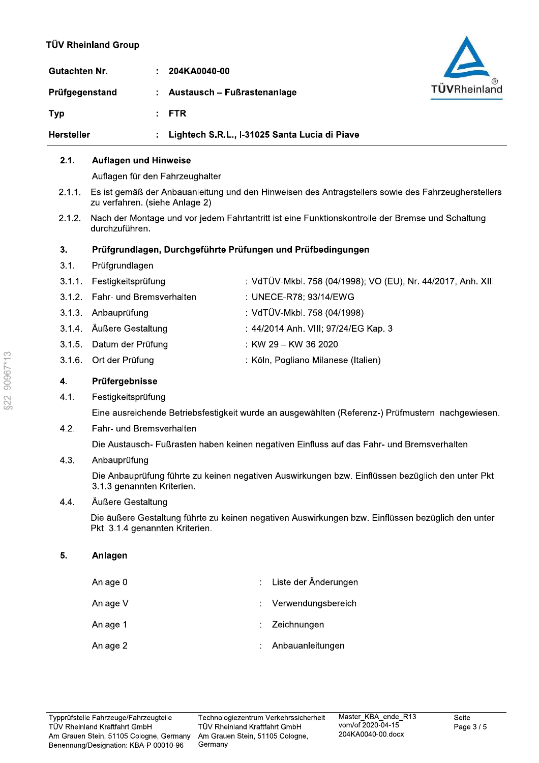| Gutachten Nr.     | 204KA0040-00                                  |              |
|-------------------|-----------------------------------------------|--------------|
| Prüfgegenstand    | : Austausch – Fußrastenanlage                 | TÜVRheinland |
| <b>Typ</b>        | $:$ FTR                                       |              |
| <b>Hersteller</b> | Lightech S.R.L., I-31025 Santa Lucia di Piave |              |

#### $2.1.$ **Auflagen und Hinweise**

Auflagen für den Fahrzeughalter

- Es ist gemäß der Anbauanleitung und den Hinweisen des Antragstellers sowie des Fahrzeugherstellers  $2.1.1.$ zu verfahren. (siehe Anlage 2)
- Nach der Montage und vor jedem Fahrtantritt ist eine Funktionskontrolle der Bremse und Schaltung  $2.1.2.$ durchzuführen.

#### $3.$ Prüfgrundlagen, Durchgeführte Prüfungen und Prüfbedingungen

- $3.1.$ Prüfgrundlagen
- 3.1.1. Festigkeitsprüfung : VdTÜV-Mkbl. 758 (04/1998); VO (EU), Nr. 44/2017, Anh. XIII
- : UNECE-R78; 93/14/EWG  $3.1.2.$ Fahr- und Bremsverhalten
- 3.1.3. Anbauprüfung : VdTÜV-Mkbl. 758 (04/1998)
- 3.1.4. Äußere Gestaltung : 44/2014 Anh. VIII; 97/24/EG Kap. 3
- $3.1.5.$ Datum der Prüfung : KW 29 - KW 36 2020
- $3.1.6.$ Ort der Prüfung : Köln, Pogliano Milanese (Italien)

#### $\overline{4}$ . Prüfergebnisse

 $4.1.$ Festigkeitsprüfung

Eine ausreichende Betriebsfestigkeit wurde an ausgewählten (Referenz-) Prüfmustern nachgewiesen.

 $4.2.$ Fahr- und Bremsverhalten

Die Austausch- Fußrasten haben keinen negativen Einfluss auf das Fahr- und Bremsverhalten.

#### $4.3.$ Anbauprüfung

Die Anbauprüfung führte zu keinen negativen Auswirkungen bzw. Einflüssen bezüglich den unter Pkt. 3.1.3 genannten Kriterien.

#### $4.4.$ Äußere Gestaltung

Die äußere Gestaltung führte zu keinen negativen Auswirkungen bzw. Einflüssen bezüglich den unter Pkt. 3.1.4 genannten Kriterien.

#### 5. Anlagen

| Anlage 0 | : Liste der Änderungen |
|----------|------------------------|
| Anlage V | : Verwendungsbereich   |
| Anlage 1 | $:$ Zeichnungen        |
| Anlage 2 | : Anbauanleitungen     |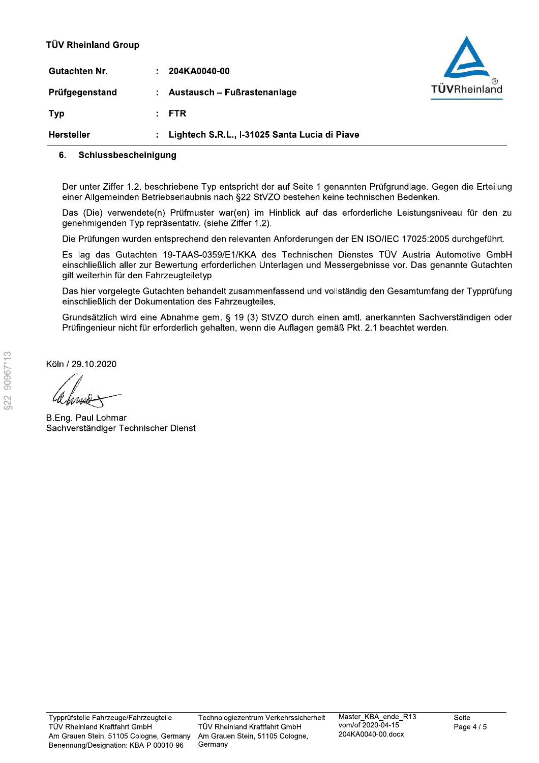| Gutachten Nr.  | ÷. | 204KA0040-00                                  |
|----------------|----|-----------------------------------------------|
| Prüfgegenstand |    | : Austausch - Fußrastenanlage                 |
| Typ            |    | : FTR                                         |
| Hersteller     |    | : Lightech S.R.L I-31025 Santa Lucia di Piave |



Der unter Ziffer 1.2. beschriebene Typ entspricht der auf Seite 1 genannten Prüfgrundlage. Gegen die Erteilung einer Allgemeinden Betriebserlaubnis nach §22 StVZO bestehen keine technischen Bedenken.

Das (Die) verwendete(n) Prüfmuster war(en) im Hinblick auf das erforderliche Leistungsniveau für den zu genehmigenden Typ repräsentativ. (siehe Ziffer 1.2).

Die Prüfungen wurden entsprechend den relevanten Anforderungen der EN ISO/IEC 17025:2005 durchgeführt.

Es lag das Gutachten 19-TAAS-0359/E1/KKA des Technischen Dienstes TÜV Austria Automotive GmbH einschließlich aller zur Bewertung erforderlichen Unterlagen und Messergebnisse vor. Das genannte Gutachten gilt weiterhin für den Fahrzeugteiletyp.

Das hier vorgelegte Gutachten behandelt zusammenfassend und vollständig den Gesamtumfang der Typprüfung einschließlich der Dokumentation des Fahrzeugteiles.

Grundsätzlich wird eine Abnahme gem. § 19 (3) StVZO durch einen amtl. anerkannten Sachverständigen oder Prüfingenieur nicht für erforderlich gehalten, wenn die Auflagen gemäß Pkt. 2.1 beachtet werden.

Köln / 29.10.2020

**B.Eng. Paul Lohmar** Sachverständiger Technischer Dienst

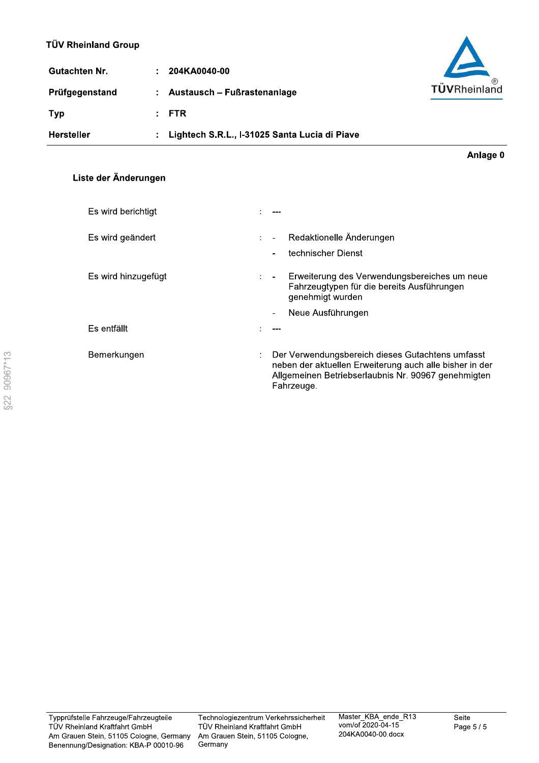| Gutachten Nr.     | 204KA0040-00<br>÷.                            |              |
|-------------------|-----------------------------------------------|--------------|
| Prüfgegenstand    | Austausch – Fußrastenanlage<br>÷.             | TÜVRheinland |
| <b>Typ</b>        | $:$ FTR                                       |              |
| <b>Hersteller</b> | Lightech S.R.L., I-31025 Santa Lucia di Piave |              |

Liste der Änderungen

| Es wird berichtigt  |                      |                                                                                                                                                                                  |  |
|---------------------|----------------------|----------------------------------------------------------------------------------------------------------------------------------------------------------------------------------|--|
| Es wird geändert    | $\mathcal{L}$        | Redaktionelle Änderungen<br>$\sim$<br>technischer Dienst<br>۰                                                                                                                    |  |
| Es wird hinzugefügt | $\ddot{\phantom{a}}$ | Erweiterung des Verwendungsbereiches um neue<br>$\blacksquare$<br>Fahrzeugtypen für die bereits Ausführungen<br>genehmigt wurden                                                 |  |
|                     |                      | Neue Ausführungen<br>$\overline{\phantom{a}}$                                                                                                                                    |  |
| Es entfällt         |                      |                                                                                                                                                                                  |  |
| Bemerkungen         |                      | Der Verwendungsbereich dieses Gutachtens umfasst<br>neben der aktuellen Erweiterung auch alle bisher in der<br>Allgemeinen Betriebserlaubnis Nr. 90967 genehmigten<br>Fahrzeuge. |  |

Anlage 0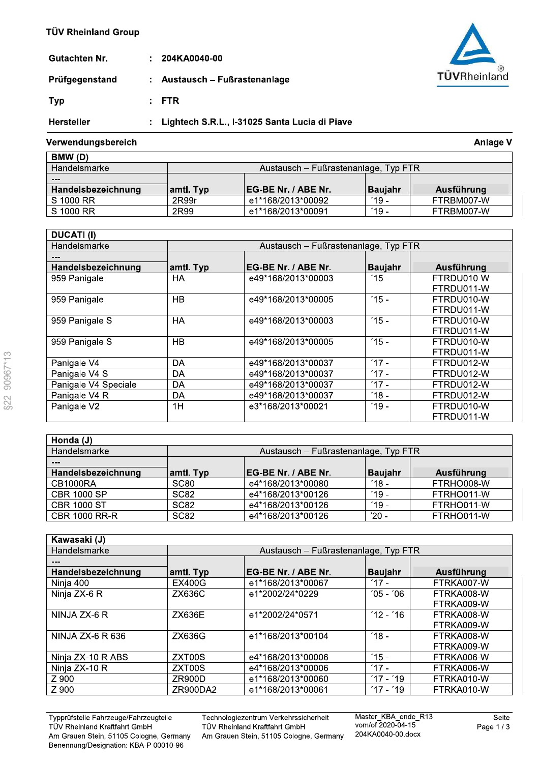| Gutachten Nr.     | $: 204$ KA0040-00                               |
|-------------------|-------------------------------------------------|
| Prüfgegenstand    | : Austausch – Fußrastenanlage                   |
| Typ               | $F^*$ FTR                                       |
| <b>Hersteller</b> | : Lightech S.R.L., I-31025 Santa Lucia di Piave |

### Verwendungsbereich

| BMW (D)            |                                      |                             |           |            |  |  |  |
|--------------------|--------------------------------------|-----------------------------|-----------|------------|--|--|--|
| Handelsmarke       | Austausch – Fußrastenanlage, Typ FTR |                             |           |            |  |  |  |
| $- - -$            |                                      |                             |           |            |  |  |  |
| Handelsbezeichnung | amtl. Typ                            | <b>IEG-BE Nr. / ABE Nr.</b> | l Bauiahr | Ausführung |  |  |  |
| S 1000 RR          | 2R99r                                | e1*168/2013*00092           | $'19 -$   | FTRBM007-W |  |  |  |
| S 1000 RR          | 2R99                                 | e1*168/2013*00091           | $19 -$    | FTRBM007-W |  |  |  |

| <b>DUCATI (I)</b>    |                                      |                     |                |            |  |  |  |  |  |  |  |
|----------------------|--------------------------------------|---------------------|----------------|------------|--|--|--|--|--|--|--|
| Handelsmarke         | Austausch - Fußrastenanlage, Typ FTR |                     |                |            |  |  |  |  |  |  |  |
|                      |                                      |                     |                |            |  |  |  |  |  |  |  |
| Handelsbezeichnung   | amtl. Typ                            | EG-BE Nr. / ABE Nr. | <b>Baujahr</b> | Ausführung |  |  |  |  |  |  |  |
| 959 Panigale         | HA                                   | e49*168/2013*00003  | $15 -$         | FTRDU010-W |  |  |  |  |  |  |  |
|                      |                                      |                     |                | FTRDU011-W |  |  |  |  |  |  |  |
| 959 Panigale         | HB                                   | e49*168/2013*00005  | $15 -$         | FTRDU010-W |  |  |  |  |  |  |  |
|                      |                                      |                     |                | FTRDU011-W |  |  |  |  |  |  |  |
| 959 Panigale S       | HA                                   | e49*168/2013*00003  | $15 -$         | FTRDU010-W |  |  |  |  |  |  |  |
|                      |                                      |                     |                | FTRDU011-W |  |  |  |  |  |  |  |
| 959 Panigale S       | <b>HB</b>                            | e49*168/2013*00005  | $15 -$         | FTRDU010-W |  |  |  |  |  |  |  |
|                      |                                      |                     |                | FTRDU011-W |  |  |  |  |  |  |  |
| Panigale V4          | DA                                   | e49*168/2013*00037  | $17 -$         | FTRDU012-W |  |  |  |  |  |  |  |
| Panigale V4 S        | DA                                   | e49*168/2013*00037  | $17 -$         | FTRDU012-W |  |  |  |  |  |  |  |
| Panigale V4 Speciale | DA                                   | e49*168/2013*00037  | $17 -$         | FTRDU012-W |  |  |  |  |  |  |  |
| Panigale V4 R        | DA                                   | e49*168/2013*00037  | $'18 -$        | FTRDU012-W |  |  |  |  |  |  |  |
| Panigale V2          | 1H                                   | e3*168/2013*00021   | $19 -$         | FTRDU010-W |  |  |  |  |  |  |  |
|                      |                                      |                     |                | FTRDU011-W |  |  |  |  |  |  |  |

| Honda (J)            |                  |                                      |                  |            |
|----------------------|------------------|--------------------------------------|------------------|------------|
| Handelsmarke         |                  | Austausch – Fußrastenanlage, Typ FTR |                  |            |
| ---                  |                  |                                      |                  |            |
| Handelsbezeichnung   | amtl. Typ        | EG-BE Nr. / ABE Nr.                  | <b>Baujahr</b>   | Ausführung |
| CB1000RA             | SC <sub>80</sub> | e4*168/2013*00080                    | $^{\prime}$ 18 - | FTRHO008-W |
| <b>CBR 1000 SP</b>   | SC <sub>82</sub> | e4*168/2013*00126                    | $19 -$           | FTRHO011-W |
| <b>CBR 1000 ST</b>   | SC <sub>82</sub> | e4*168/2013*00126                    | 19 -             | FTRHO011-W |
| <b>CBR 1000 RR-R</b> | <b>SC82</b>      | e4*168/2013*00126                    | '20 -            | FTRHO011-W |

| Kawasaki (J)       |               |                                      |                |            |
|--------------------|---------------|--------------------------------------|----------------|------------|
| Handelsmarke       |               | Austausch - Fußrastenanlage, Typ FTR |                |            |
|                    |               |                                      |                |            |
| Handelsbezeichnung | amtl. Typ     | <b>EG-BE Nr. / ABE Nr.</b>           | <b>Baujahr</b> | Ausführung |
| Ninja 400          | <b>EX400G</b> | e1*168/2013*00067                    | $17 -$         | FTRKA007-W |
| Ninja ZX-6 R       | ZX636C        | e1*2002/24*0229                      | $'05 - '06$    | FTRKA008-W |
|                    |               |                                      |                | FTRKA009-W |
| NINJA ZX-6 R       | <b>ZX636E</b> | e1*2002/24*0571                      | $12 - 16$      | FTRKA008-W |
|                    |               |                                      |                | FTRKA009-W |
| NINJA ZX-6 R 636   | ZX636G        | e1*168/2013*00104                    | $'18 -$        | FTRKA008-W |
|                    |               |                                      |                | FTRKA009-W |
| Ninja ZX-10 R ABS  | ZXT00S        | e4*168/2013*00006                    | $15 -$         | FTRKA006-W |
| Ninja ZX-10 R      | ZXT00S        | e4*168/2013*00006                    | $17 -$         | FTRKA006-W |
| Z 900              | ZR900D        | e1*168/2013*00060                    | $17 - 19$      | FTRKA010-W |
| Z 900              | ZR900DA2      | e1*168/2013*00061                    | $17 - 19$      | FTRKA010-W |

Typprüfstelle Fahrzeuge/Fahrzeugteile<br>TÜV Rheinland Kraftfahrt GmbH Am Grauen Stein, 51105 Cologne, Germany Benennung/Designation: KBA-P 00010-96

Technologiezentrum Verkehrssicherheit<br>TÜV Rheinland Kraftfahrt GmbH

Am Grauen Stein, 51105 Cologne, Germany

Master\_KBA\_ende\_R13<br>vom/of 2020-04-15 204KA0040-00.docx



**Anlage V**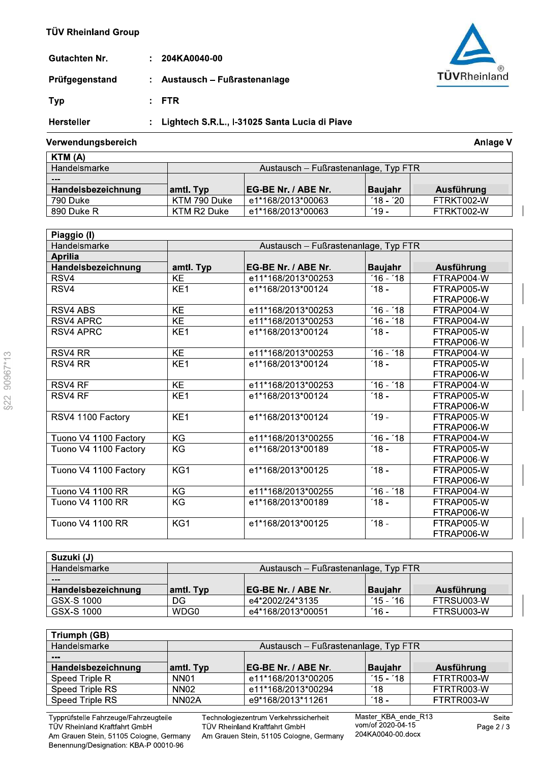| Gutachten Nr.     | $: 204K$ A0040-00                               |
|-------------------|-------------------------------------------------|
| Prüfgegenstand    | : Austausch – Fußrastenanlage                   |
| Typ               | : FTR                                           |
| <b>Hersteller</b> | : Lightech S.R.L., I-31025 Santa Lucia di Piave |

### Verwendungsbereich

| KTM (A)            |              |                                      |           |            |  |  |
|--------------------|--------------|--------------------------------------|-----------|------------|--|--|
| Handelsmarke       |              | Austausch – Fußrastenanlage, Typ FTR |           |            |  |  |
| ---                |              |                                      |           |            |  |  |
| Handelsbezeichnung | amtl. Typ    | <b>IEG-BE Nr. / ABE Nr.</b>          | ⊺Bauiahr  | Ausführung |  |  |
| 790 Duke           | KTM 790 Duke | e1*168/2013*00063                    | $18 - 20$ | FTRKT002-W |  |  |
| 890 Duke R         | KTM R2 Duke  | e1*168/2013*00063                    | (19 –     | FTRKT002-W |  |  |

| Piaggio (I)           |                 |                                      |                      |            |  |  |  |
|-----------------------|-----------------|--------------------------------------|----------------------|------------|--|--|--|
| Handelsmarke          |                 | Austausch - Fußrastenanlage, Typ FTR |                      |            |  |  |  |
| <b>Aprilia</b>        |                 |                                      |                      |            |  |  |  |
| Handelsbezeichnung    | amtl. Typ       | EG-BE Nr. / ABE Nr.                  | <b>Baujahr</b>       | Ausführung |  |  |  |
| RSV4                  | <b>KE</b>       | e11*168/2013*00253                   | $16 - 18$            | FTRAP004-W |  |  |  |
| RSV4                  | KE <sub>1</sub> | e1*168/2013*00124                    | $18 -$               | FTRAP005-W |  |  |  |
|                       |                 |                                      |                      | FTRAP006-W |  |  |  |
| RSV4 ABS              | KE              | e11*168/2013*00253                   | $16 - 18$            | FTRAP004-W |  |  |  |
| <b>RSV4 APRC</b>      | <b>KE</b>       | e11*168/2013*00253                   | $\overline{16}$ - 18 | FTRAP004-W |  |  |  |
| <b>RSV4 APRC</b>      | KE <sub>1</sub> | e1*168/2013*00124                    | $18 -$               | FTRAP005-W |  |  |  |
|                       |                 |                                      |                      | FTRAP006-W |  |  |  |
| RSV4 RR               | $\overline{KE}$ | e11*168/2013*00253                   | $16 - 18$            | FTRAP004-W |  |  |  |
| RSV4 RR               | KE <sub>1</sub> | e1*168/2013*00124                    | $18 -$               | FTRAP005-W |  |  |  |
|                       |                 |                                      |                      | FTRAP006-W |  |  |  |
| <b>RSV4 RF</b>        | KE              | e11*168/2013*00253                   | $16 - 18$            | FTRAP004-W |  |  |  |
| <b>RSV4 RF</b>        | KE <sub>1</sub> | e1*168/2013*00124                    | $-18 -$              | FTRAP005-W |  |  |  |
|                       |                 |                                      |                      | FTRAP006-W |  |  |  |
| RSV4 1100 Factory     | KE <sub>1</sub> | e1*168/2013*00124                    | $19 -$               | FTRAP005-W |  |  |  |
|                       |                 |                                      |                      | FTRAP006-W |  |  |  |
| Tuono V4 1100 Factory | KG              | e11*168/2013*00255                   | $\overline{16}$ - 18 | FTRAP004-W |  |  |  |
| Tuono V4 1100 Factory | KG              | e1*168/2013*00189                    | $18 -$               | FTRAP005-W |  |  |  |
|                       |                 |                                      |                      | FTRAP006-W |  |  |  |
| Tuono V4 1100 Factory | KG1             | e1*168/2013*00125                    | $18 -$               | FTRAP005-W |  |  |  |
|                       |                 |                                      |                      | FTRAP006-W |  |  |  |
| Tuono V4 1100 RR      | KG              | e11*168/2013*00255                   | $\overline{16}$ - 18 | FTRAP004-W |  |  |  |
| Tuono V4 1100 RR      | KG              | e1*168/2013*00189                    | $18 -$               | FTRAP005-W |  |  |  |
|                       |                 |                                      |                      | FTRAP006-W |  |  |  |
| Tuono V4 1100 RR      | KG1             | e1*168/2013*00125                    | $18 -$               | FTRAP005-W |  |  |  |
|                       |                 |                                      |                      | FTRAP006-W |  |  |  |

| Suzuki (J)         |                                      |                             |                  |            |  |
|--------------------|--------------------------------------|-----------------------------|------------------|------------|--|
| Handelsmarke       | Austausch - Fußrastenanlage, Typ FTR |                             |                  |            |  |
| ---                |                                      |                             |                  |            |  |
| Handelsbezeichnung | amtl. Typ                            | <b>IEG-BE Nr. / ABE Nr.</b> | <b>Baujahr</b>   | Ausführung |  |
| GSX-S 1000         | DG                                   | e4*2002/24*3135             | $15 - 16$        | FTRSU003-W |  |
| GSX-S 1000         | WDG0                                 | e4*168/2013*00051           | $^{\prime}$ 16 - | FTRSU003-W |  |

|                    | Austausch – Fußrastenanlage, Typ FTR |                  |            |  |  |  |
|--------------------|--------------------------------------|------------------|------------|--|--|--|
|                    |                                      |                  |            |  |  |  |
| amtl. Typ          | EG-BE Nr. / ABE Nr.                  | <b>Baujahr</b>   | Ausführung |  |  |  |
| NN <sub>01</sub>   | e11*168/2013*00205                   | $15 - 18$        | FTRTR003-W |  |  |  |
| <b>NN02</b>        | e11*168/2013*00294                   | 18'              | FTRTR003-W |  |  |  |
| NN <sub>02</sub> A | e9*168/2013*11261                    | $^{\prime}$ 18 - | FTRTR003-W |  |  |  |
|                    |                                      |                  |            |  |  |  |

Typprüfstelle Fahrzeuge/Fahrzeugteile<br>TÜV Rheinland Kraftfahrt GmbH Am Grauen Stein, 51105 Cologne, Germany<br>Benennung/Designation: KBA-P 00010-96 Technologiezentrum Verkehrssicherheit<br>TÜV Rheinland Kraftfahrt GmbH

Am Grauen Stein, 51105 Cologne, Germany

Master\_KBA\_ende\_R13<br>vom/of 2020-04-15 204KA0040-00.docx



**Anlage V**